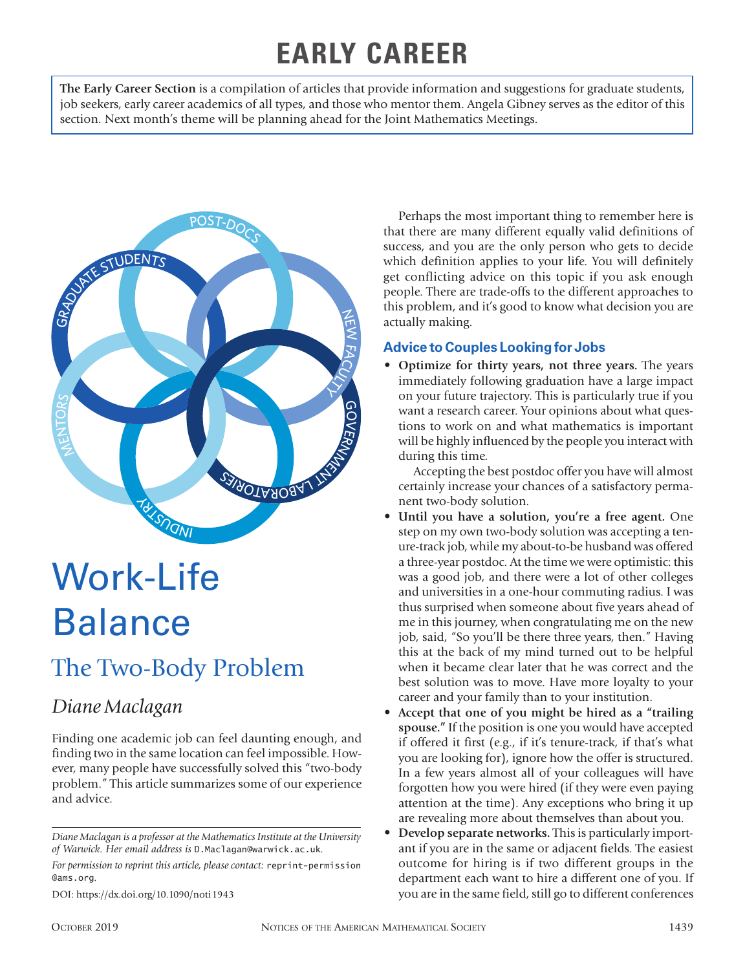## **EARLY CAREER**

**The Early Career Section** is a compilation of articles that provide information and suggestions for graduate students, job seekers, early career academics of all types, and those who mentor them. Angela Gibney serves as the editor of this section. Next month's theme will be planning ahead for the Joint Mathematics Meetings.



# Work-Life Balance

## The Two-Body Problem

## *Diane Maclagan*

Finding one academic job can feel daunting enough, and finding two in the same location can feel impossible. However, many people have successfully solved this "two-body problem." This article summarizes some of our experience and advice.

*Diane Maclagan is a professor at the Mathematics Institute at the University of Warwick. Her email address is* D.Maclagan@warwick.ac.uk*.*

*For permission to reprint this article, please contact:* reprint-permission @ams.org.

Perhaps the most important thing to remember here is that there are many different equally valid definitions of success, and you are the only person who gets to decide which definition applies to your life. You will definitely get conflicting advice on this topic if you ask enough people. There are trade-offs to the different approaches to this problem, and it's good to know what decision you are actually making.

#### **Advice to Couples Looking for Jobs**

• **Optimize for thirty years, not three years.** The years immediately following graduation have a large impact on your future trajectory. This is particularly true if you want a research career. Your opinions about what questions to work on and what mathematics is important will be highly influenced by the people you interact with during this time.

Accepting the best postdoc offer you have will almost certainly increase your chances of a satisfactory permanent two-body solution.

- **Until you have a solution, you're a free agent.** One step on my own two-body solution was accepting a tenure-track job, while my about-to-be husband was offered a three-year postdoc. At the time we were optimistic: this was a good job, and there were a lot of other colleges and universities in a one-hour commuting radius. I was thus surprised when someone about five years ahead of me in this journey, when congratulating me on the new job, said, "So you'll be there three years, then." Having this at the back of my mind turned out to be helpful when it became clear later that he was correct and the best solution was to move. Have more loyalty to your career and your family than to your institution.
- **Accept that one of you might be hired as a "trailing spouse."** If the position is one you would have accepted if offered it first (e.g., if it's tenure-track, if that's what you are looking for), ignore how the offer is structured. In a few years almost all of your colleagues will have forgotten how you were hired (if they were even paying attention at the time). Any exceptions who bring it up are revealing more about themselves than about you.
- **Develop separate networks.** This is particularly important if you are in the same or adjacent fields. The easiest outcome for hiring is if two different groups in the department each want to hire a different one of you. If you are in the same field, still go to different conferences

DOI: https://dx.doi.org/10.1090/noti1943